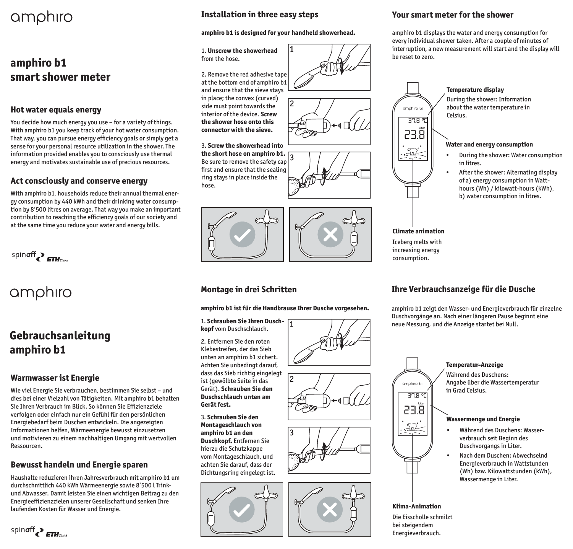# amphiro

## **amphiro b1 smart shower meter**

### **Hot water equals energy**

You decide how much energy you use – for a variety of things. With amphiro b1 you keep track of your hot water consumption. That way, you can pursue energy efficiency goals or simply get a sense for your personal resource utilization in the shower. The information provided enables you to consciously use thermal energy and motivates sustainable use of precious resources.

### **Act consciously and conserve energy**

With amphiro b1, households reduce their annual thermal energy consumption by 440 kWh and their drinking water consumption by 8'500 litres on average. That way you make an important contribution to reaching the efficiency goals of our society and at the same time you reduce your water and energy bills.

spinoff PETH zürich

# amphiro

## **Gebrauchsanleitung amphiro b1**

### **Warmwasser ist Energie**

spinoff PETH zanta

Wie viel Energie Sie verbrauchen, bestimmen Sie selbst – und dies bei einer Vielzahl von Tätigkeiten. Mit amphiro b1 behalten Sie Ihren Verbrauch im Blick. So können Sie Effizienzziele verfolgen oder einfach nur ein Gefühl für den persönlichen Energiebedarf beim Duschen entwickeln. Die angezeigten Informationen helfen, Wärmeenergie bewusst einzusetzen und motivieren zu einem nachhaltigen Umgang mit wertvollen Ressourcen.

### **Bewusst handeln und Energie sparen**

Haushalte reduzieren ihren Jahresverbrauch mit amphiro b1 um durchschnittlich 440 kWh Wärmeenergie sowie 8'500 l Trinkund Abwasser. Damit leisten Sie einen wichtigen Beitrag zu den Energieeffizienzzielen unserer Gesellschaft und senken Ihre laufenden Kosten für Wasser und Energie. **Klima-Animation**

### **Installation in three easy steps**

#### **amphiro b1 is designed for your handheld showerhead.**

1

2

#### 1. **Unscrew the showerhead**  from the hose.

2. Remove the red adhesive tape at the bottom end of amphiro b1 and ensure that the sieve stays in place; the convex (curved) side must point towards the interior of the device. **Screw the shower hose onto this connector with the sieve.**

#### ا3 3. **Screw the showerhead into the short hose on amphiro b1.** Be sure to remove the safety cap first and ensure that the sealing ring stays in place inside the hose.



### **Montage in drei Schritten**

#### **amphiro b1 ist für die Handbrause Ihrer Dusche vorgesehen.**

#### 1. **Schrauben Sie Ihren Duschkopf** vom Duschschlauch.

2. Entfernen Sie den roten Klebestreifen, der das Sieb unten an amphiro b1 sichert. Achten Sie unbedingt darauf, dass das Sieb richtig eingelegt ist (gewölbte Seite in das Gerät). **Schrauben Sie den Duschschlauch unten am Gerät fest.** 

3. **Schrauben Sie den Montageschlauch von amphiro b1 an den Duschkopf.** Entfernen Sie hierzu die Schutzkappe vom Montageschlauch, und achten Sie darauf, dass der Dichtungsring eingelegt ist.









#### **Your smart meter for the shower**

amphiro b1 displays the water and energy consumption for every individual shower taken. After a couple of minutes of interruption, a new measurement will start and the display will be reset to zero.



#### **Temperature display**

During the shower: Information about the water temperature in Celsius.

#### **Water and energy consumption**

- During the shower: Water consumption in litres.
- After the shower: Alternating display of a) energy consumption in Watthours (Wh) / kilowatt-hours (kWh), b) water consumption in litres.

**Climate animation** Iceberg melts with increasing energy consumption.

### **Ihre Verbrauchsanzeige für die Dusche**

amphiro b1 zeigt den Wasser- und Energieverbrauch für einzelne Duschvorgänge an. Nach einer längeren Pause beginnt eine neue Messung, und die Anzeige startet bei Null.

> verbrauch seit Beginn des Duschvorgangs in Liter.

Wassermenge in Liter.

• Nach dem Duschen: Abwechselnd Energieverbrauch in Wattstunden (Wh) bzw. Kilowattstunden (kWh),



Die Eisscholle schmilzt bei steigendem Energieverbrauch.